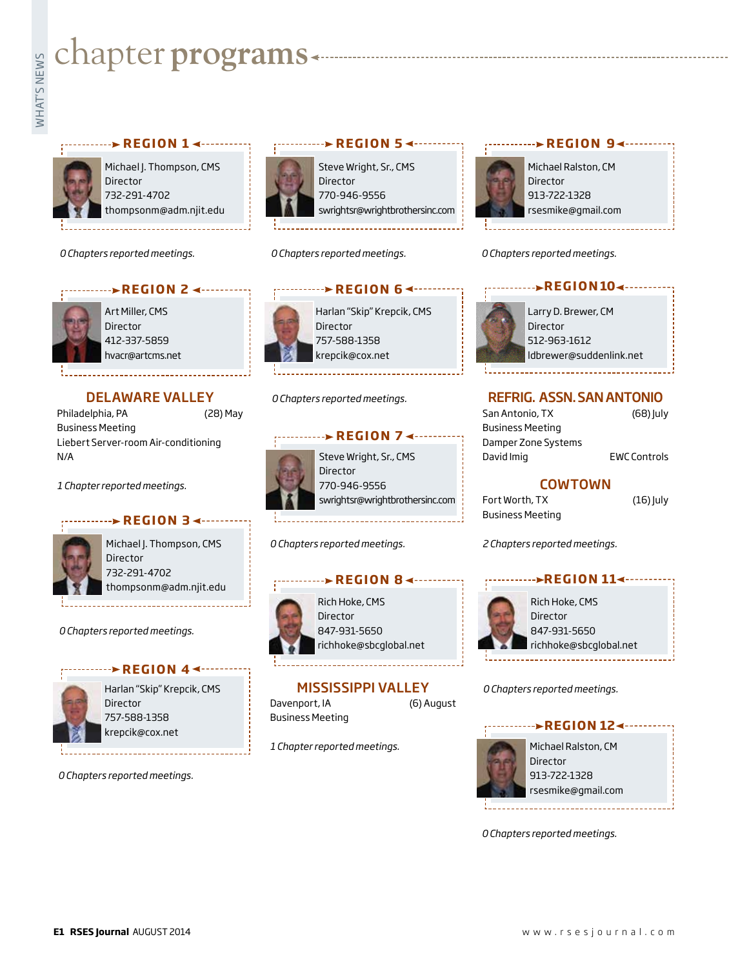# **Example for programs**<br>Example:<br>Fig. 1

## **PREGION 1 < ··········**



Michael J. Thompson, CMS **Director** 732-291-4702 thompsonm@adm.njit.edu

**REGION 2 <---------**

*0 Chapters reported meetings.*



Art Miller, CMS Director 412-337-5859 hvacr@artcms.net

## DELAWARE VALLEY

Philadelphia, PA (28) May Business Meeting Liebert Server-room Air-conditioning N/A

*1 Chapter reported meetings.*

## **REGION 3**



Michael J. Thompson, CMS Director 732-291-4702 thompsonm@adm.njit.edu

### *0 Chapters reported meetings.*



Harlan "Skip" Krepcik, CMS Director 757-588-1358 krepcik@cox.net

*0 Chapters reported meetings.*



Steve Wright, Sr., CMS Director 770-946-9556 swrightsr@wrightbrothersinc.com

*0 Chapters reported meetings.*



Harlan "Skip" Krepcik, CMS 757-588-1358 krepcik@cox.net

### *0 Chapters reported meetings.*



Steve Wright, Sr., CMS Director 770-946-9556 swrightsr@wrightbrothersinc.com

*0 Chapters reported meetings.*

### **ACCION 8 < −−−−−−−** REGION 8



Rich Hoke, CMS Director 847-931-5650 richhoke@sbcglobal.net

# MISSISSIPPI VALLEY

Davenport, IA (6) August Business Meeting

*1 Chapter reported meetings.*





*0 Chapters reported meetings.*

Larry D. Brewer, CM Director 512-963-1612 ldbrewer@suddenlink.net **REGION104 ------**

## REFRIG. ASSN. SAN ANTONIO

San Antonio, TX (68) July Business Meeting Damper Zone Systems David Imig **EWC Controls** 

## COWTOWN

Fort Worth, TX (16) July Business Meeting

*2 Chapters reported meetings.*



*0 Chapters reported meetings.*



*0 Chapters reported meetings.*